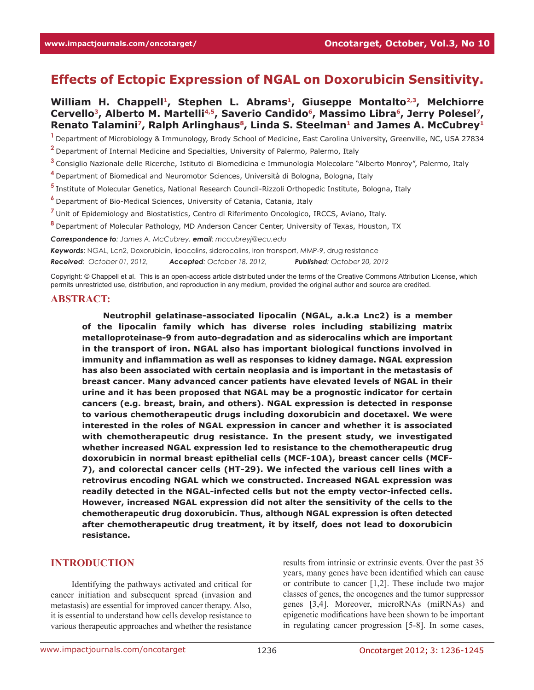# **Effects of Ectopic Expression of NGAL on Doxorubicin Sensitivity.**

William H. Chappell<sup>1</sup>, Stephen L. Abrams<sup>1</sup>, Giuseppe Montalto<sup>2,3</sup>, Melchiorre Cervello<sup>3</sup>, Alberto M. Martelli<sup>4,5</sup>, Saverio Candido<sup>6</sup>, Massimo Libra<sup>6</sup>, Jerry Polesel<sup>7</sup>, Renato Talamini<sup>7</sup>, Ralph Arlinghaus<sup>8</sup>, Linda S. Steelman<sup>1</sup> and James A. McCubrey<sup>1</sup>

**<sup>1</sup>**Department of Microbiology & Immunology, Brody School of Medicine, East Carolina University, Greenville, NC, USA 27834

**<sup>2</sup>**Department of Internal Medicine and Specialties, University of Palermo, Palermo, Italy

**<sup>3</sup>**Consiglio Nazionale delle Ricerche, Istituto di Biomedicina e Immunologia Molecolare "Alberto Monroy", Palermo, Italy

**<sup>4</sup>**Department of Biomedical and Neuromotor Sciences, Università di Bologna, Bologna, Italy

**<sup>5</sup>**Institute of Molecular Genetics, National Research Council-Rizzoli Orthopedic Institute, Bologna, Italy

**<sup>6</sup>**Department of Bio-Medical Sciences, University of Catania, Catania, Italy

**<sup>7</sup>**Unit of Epidemiology and Biostatistics, Centro di Riferimento Oncologico, IRCCS, Aviano, Italy.

**<sup>8</sup>**Department of Molecular Pathology, MD Anderson Cancer Center, University of Texas, Houston, TX

*Correspondence to: James A. McCubrey, email: mccubreyj@ecu.edu*

*Keywords*: NGAL, Lcn2, Doxorubicin, lipocalins, siderocalins, iron transport, MMP-9, drug resistance

*Received: October 01, 2012, Accepted: October 18, 2012, Published: October 20, 2012*

Copyright: © Chappell et al. This is an open-access article distributed under the terms of the Creative Commons Attribution License, which permits unrestricted use, distribution, and reproduction in any medium, provided the original author and source are credited.

#### **ABSTRACT:**

**Neutrophil gelatinase-associated lipocalin (NGAL, a.k.a Lnc2) is a member of the lipocalin family which has diverse roles including stabilizing matrix metalloproteinase-9 from auto-degradation and as siderocalins which are important in the transport of iron. NGAL also has important biological functions involved in immunity and inflammation as well as responses to kidney damage. NGAL expression has also been associated with certain neoplasia and is important in the metastasis of breast cancer. Many advanced cancer patients have elevated levels of NGAL in their urine and it has been proposed that NGAL may be a prognostic indicator for certain cancers (e.g. breast, brain, and others). NGAL expression is detected in response to various chemotherapeutic drugs including doxorubicin and docetaxel. We were interested in the roles of NGAL expression in cancer and whether it is associated with chemotherapeutic drug resistance. In the present study, we investigated whether increased NGAL expression led to resistance to the chemotherapeutic drug doxorubicin in normal breast epithelial cells (MCF-10A), breast cancer cells (MCF-7), and colorectal cancer cells (HT-29). We infected the various cell lines with a retrovirus encoding NGAL which we constructed. Increased NGAL expression was readily detected in the NGAL-infected cells but not the empty vector-infected cells. However, increased NGAL expression did not alter the sensitivity of the cells to the chemotherapeutic drug doxorubicin. Thus, although NGAL expression is often detected after chemotherapeutic drug treatment, it by itself, does not lead to doxorubicin resistance.** 

### **INTRODUCTION**

Identifying the pathways activated and critical for cancer initiation and subsequent spread (invasion and metastasis) are essential for improved cancer therapy. Also, it is essential to understand how cells develop resistance to various therapeutic approaches and whether the resistance

results from intrinsic or extrinsic events. Over the past 35 years, many genes have been identified which can cause or contribute to cancer [1,2]. These include two major classes of genes, the oncogenes and the tumor suppressor genes [3,4]. Moreover, microRNAs (miRNAs) and epigenetic modifications have been shown to be important in regulating cancer progression [5-8]. In some cases,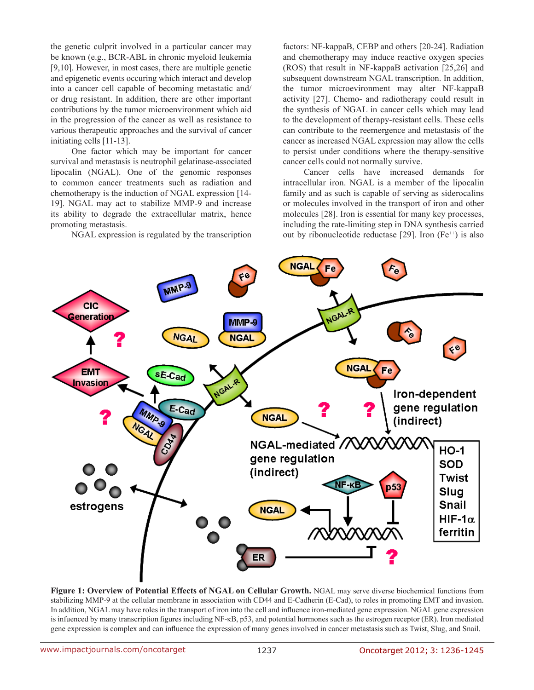the genetic culprit involved in a particular cancer may be known (e.g., BCR-ABL in chronic myeloid leukemia [9,10]. However, in most cases, there are multiple genetic and epigenetic events occuring which interact and develop into a cancer cell capable of becoming metastatic and/ or drug resistant. In addition, there are other important contributions by the tumor microenvironment which aid in the progression of the cancer as well as resistance to various therapeutic approaches and the survival of cancer initiating cells [11-13].

One factor which may be important for cancer survival and metastasis is neutrophil gelatinase-associated lipocalin (NGAL). One of the genomic responses to common cancer treatments such as radiation and chemotherapy is the induction of NGAL expression [14- 19]. NGAL may act to stabilize MMP-9 and increase its ability to degrade the extracellular matrix, hence promoting metastasis.

NGAL expression is regulated by the transcription

factors: NF-kappaB, CEBP and others [20-24]. Radiation and chemotherapy may induce reactive oxygen species (ROS) that result in NF-kappaB activation [25,26] and subsequent downstream NGAL transcription. In addition, the tumor microevironment may alter NF-kappaB activity [27]. Chemo- and radiotherapy could result in the synthesis of NGAL in cancer cells which may lead to the development of therapy-resistant cells. These cells can contribute to the reemergence and metastasis of the cancer as increased NGAL expression may allow the cells to persist under conditions where the therapy-sensitive cancer cells could not normally survive.

Cancer cells have increased demands for intracellular iron. NGAL is a member of the lipocalin family and as such is capable of serving as siderocalins or molecules involved in the transport of iron and other molecules [28]. Iron is essential for many key processes, including the rate-limiting step in DNA synthesis carried out by ribonucleotide reductase [29]. Iron  $(Fe^{++})$  is also



**Figure 1: Overview of Potential Effects of NGAL on Cellular Growth.** NGAL may serve diverse biochemical functions from stabilizing MMP-9 at the cellular membrane in association with CD44 and E-Cadherin (E-Cad), to roles in promoting EMT and invasion. In addition, NGAL may have roles in the transport of iron into the cell and influence iron-mediated gene expression. NGAL gene expression is infuenced by many transcription figures including NF-κB, p53, and potential hormones such as the estrogen receptor (ER). Iron mediated gene expression is complex and can influence the expression of many genes involved in cancer metastasis such as Twist, Slug, and Snail.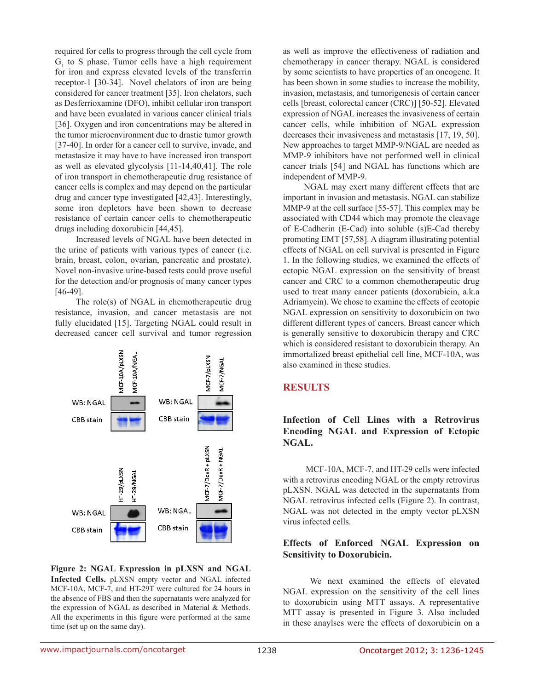required for cells to progress through the cell cycle from  $G<sub>1</sub>$  to S phase. Tumor cells have a high requirement for iron and express elevated levels of the transferrin receptor-1 [30-34]. Novel chelators of iron are being considered for cancer treatment [35]. Iron chelators, such as Desferrioxamine (DFO), inhibit cellular iron transport and have been evualated in various cancer clinical trials [36]. Oxygen and iron concentrations may be altered in the tumor microenvironment due to drastic tumor growth [37-40]. In order for a cancer cell to survive, invade, and metastasize it may have to have increased iron transport as well as elevated glycolysis [11-14,40,41]. The role of iron transport in chemotherapeutic drug resistance of cancer cells is complex and may depend on the particular drug and cancer type investigated [42,43]. Interestingly, some iron depletors have been shown to decrease resistance of certain cancer cells to chemotherapeutic drugs including doxorubicin [44,45].

Increased levels of NGAL have been detected in the urine of patients with various types of cancer (i.e. brain, breast, colon, ovarian, pancreatic and prostate). Novel non-invasive urine-based tests could prove useful for the detection and/or prognosis of many cancer types [46-49].

The role(s) of NGAL in chemotherapeutic drug resistance, invasion, and cancer metastasis are not fully elucidated [15]. Targeting NGAL could result in decreased cancer cell survival and tumor regression



**Figure 2: NGAL Expression in pLXSN and NGAL Infected Cells.** pLXSN empty vector and NGAL infected MCF-10A, MCF-7, and HT-29T were cultured for 24 hours in the absence of FBS and then the supernatants were analyzed for the expression of NGAL as described in Material & Methods. All the experiments in this figure were performed at the same time (set up on the same day).

as well as improve the effectiveness of radiation and chemotherapy in cancer therapy. NGAL is considered by some scientists to have properties of an oncogene. It has been shown in some studies to increase the mobility, invasion, metastasis, and tumorigenesis of certain cancer cells [breast, colorectal cancer (CRC)] [50-52]. Elevated expression of NGAL increases the invasiveness of certain cancer cells, while inhibition of NGAL expression decreases their invasiveness and metastasis [17, 19, 50]. New approaches to target MMP-9/NGAL are needed as MMP-9 inhibitors have not performed well in clinical cancer trials [54] and NGAL has functions which are independent of MMP-9.

NGAL may exert many different effects that are important in invasion and metastasis. NGAL can stabilize MMP-9 at the cell surface [55-57]. This complex may be associated with CD44 which may promote the cleavage of E-Cadherin (E-Cad) into soluble (s)E-Cad thereby promoting EMT [57,58]. A diagram illustrating potential effects of NGAL on cell survival is presented in Figure 1. In the following studies, we examined the effects of ectopic NGAL expression on the sensitivity of breast cancer and CRC to a common chemotherapeutic drug used to treat many cancer patients (doxorubicin, a.k.a Adriamycin). We chose to examine the effects of ecotopic NGAL expression on sensitivity to doxorubicin on two different different types of cancers. Breast cancer which is generally sensitive to doxorubicin therapy and CRC which is considered resistant to doxorubicin therapy. An immortalized breast epithelial cell line, MCF-10A, was also examined in these studies.

## **RESULTS**

## **Infection of Cell Lines with a Retrovirus Encoding NGAL and Expression of Ectopic NGAL.**

 MCF-10A, MCF-7, and HT-29 cells were infected with a retrovirus encoding NGAL or the empty retrovirus pLXSN. NGAL was detected in the supernatants from NGAL retrovirus infected cells (Figure 2). In contrast, NGAL was not detected in the empty vector pLXSN virus infected cells.

### **Effects of Enforced NGAL Expression on Sensitivity to Doxorubicin.**

 We next examined the effects of elevated NGAL expression on the sensitivity of the cell lines to doxorubicin using MTT assays. A representative MTT assay is presented in Figure 3. Also included in these anaylses were the effects of doxorubicin on a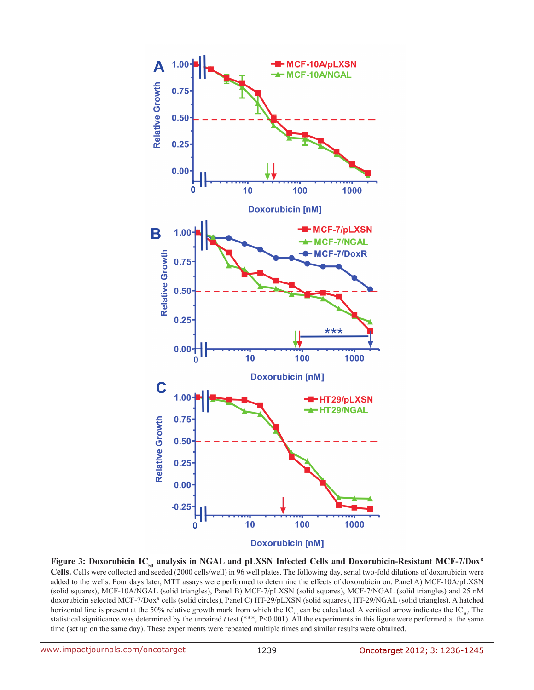

**Figure 3: Doxorubicin IC<sub>50</sub> analysis in NGAL and pLXSN Infected Cells and Doxorubicin-Resistant MCF-7/Dox<sup>R</sup> Cells.** Cells were collected and seeded (2000 cells/well) in 96 well plates. The following day, serial two-fold dilutions of doxorubicin were added to the wells. Four days later, MTT assays were performed to determine the effects of doxorubicin on: Panel A) MCF-10A/pLXSN (solid squares), MCF-10A/NGAL (solid triangles), Panel B) MCF-7/pLXSN (solid squares), MCF-7/NGAL (solid triangles) and 25 nM doxorubicin selected MCF-7/Dox<sup>R</sup> cells (solid circles), Panel C) HT-29/pLXSN (solid squares), HT-29/NGAL (solid triangles). A hatched horizontal line is present at the 50% relative growth mark from which the IC<sub>50</sub> can be calculated. A veritical arrow indicates the IC<sub>50</sub>. The statistical significance was determined by the unpaired *t* test (\*\*\*, P<0.001). All the experiments in this figure were performed at the same time (set up on the same day). These experiments were repeated multiple times and similar results were obtained.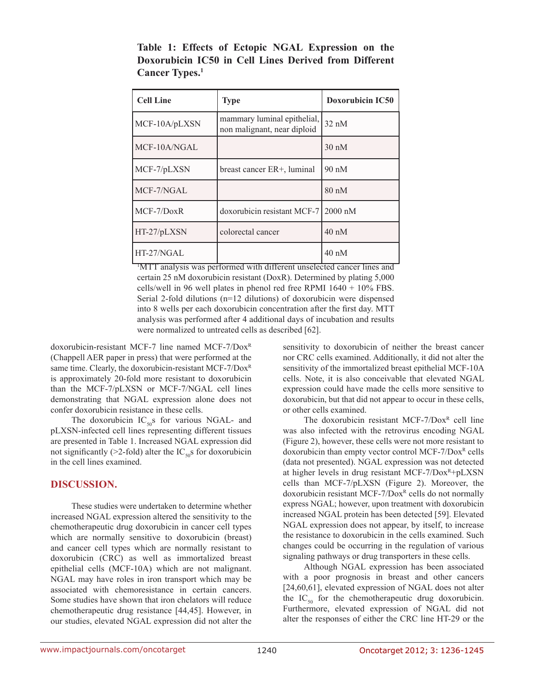| <b>Cell Line</b> | <b>Type</b>                                                | <b>Doxorubicin IC50</b> |
|------------------|------------------------------------------------------------|-------------------------|
| MCF-10A/pLXSN    | mammary luminal epithelial,<br>non malignant, near diploid | $32 \text{ nM}$         |
| MCF-10A/NGAL     |                                                            | $30 \text{ nM}$         |
| MCF-7/pLXSN      | breast cancer ER+, luminal                                 | $90 \text{ nM}$         |
| MCF-7/NGAL       |                                                            | $80 \text{ nM}$         |
| $MCF-7/DoxR$     | doxorubicin resistant MCF-7 2000 nM                        |                         |
| $HT-27/bLXSN$    | colorectal cancer                                          | $40 \text{ nM}$         |
| HT-27/NGAL       |                                                            | $40 \text{ nM}$         |

**Table 1: Effects of Ectopic NGAL Expression on the Doxorubicin IC50 in Cell Lines Derived from Different Cancer Types.1**

1 MTT analysis was performed with different unselected cancer lines and certain 25 nM doxorubicin resistant (DoxR). Determined by plating 5,000 cells/well in 96 well plates in phenol red free RPMI 1640 + 10% FBS. Serial 2-fold dilutions (n=12 dilutions) of doxorubicin were dispensed into 8 wells per each doxorubicin concentration after the first day. MTT analysis was performed after 4 additional days of incubation and results were normalized to untreated cells as described [62].

doxorubicin-resistant MCF-7 line named MCF-7/DoxR (Chappell AER paper in press) that were performed at the same time. Clearly, the doxorubicin-resistant MCF-7/Dox<sup>R</sup> is approximately 20-fold more resistant to doxorubicin than the MCF-7/pLXSN or MCF-7/NGAL cell lines demonstrating that NGAL expression alone does not confer doxorubicin resistance in these cells.

The doxorubicin  $IC_{50}$ s for various NGAL- and pLXSN-infected cell lines representing different tissues are presented in Table 1. Increased NGAL expression did not significantly ( $>2$ -fold) alter the IC<sub>50</sub>s for doxorubicin in the cell lines examined.

### **DISCUSSION.**

These studies were undertaken to determine whether increased NGAL expression altered the sensitivity to the chemotherapeutic drug doxorubicin in cancer cell types which are normally sensitive to doxorubicin (breast) and cancer cell types which are normally resistant to doxorubicin (CRC) as well as immortalized breast epithelial cells (MCF-10A) which are not malignant. NGAL may have roles in iron transport which may be associated with chemoresistance in certain cancers. Some studies have shown that iron chelators will reduce chemotherapeutic drug resistance [44,45]. However, in our studies, elevated NGAL expression did not alter the sensitivity to doxorubicin of neither the breast cancer nor CRC cells examined. Additionally, it did not alter the sensitivity of the immortalized breast epithelial MCF-10A cells. Note, it is also conceivable that elevated NGAL expression could have made the cells more sensitive to doxorubicin, but that did not appear to occur in these cells, or other cells examined.

The doxorubicin resistant MCF-7/Dox<sup>R</sup> cell line was also infected with the retrovirus encoding NGAL (Figure 2), however, these cells were not more resistant to doxorubicin than empty vector control MCF-7/Dox<sup>R</sup> cells (data not presented). NGAL expression was not detected at higher levels in drug resistant MCF-7/ $Dox^R+pLXSN$ cells than MCF-7/pLXSN (Figure 2). Moreover, the doxorubicin resistant MCF-7/Dox<sup>R</sup> cells do not normally express NGAL; however, upon treatment with doxorubicin increased NGAL protein has been detected [59]. Elevated NGAL expression does not appear, by itself, to increase the resistance to doxorubicin in the cells examined. Such changes could be occurring in the regulation of various signaling pathways or drug transporters in these cells.

Although NGAL expression has been associated with a poor prognosis in breast and other cancers [24,60,61], elevated expression of NGAL does not alter the  $IC_{50}$  for the chemotherapeutic drug doxorubicin. Furthermore, elevated expression of NGAL did not alter the responses of either the CRC line HT-29 or the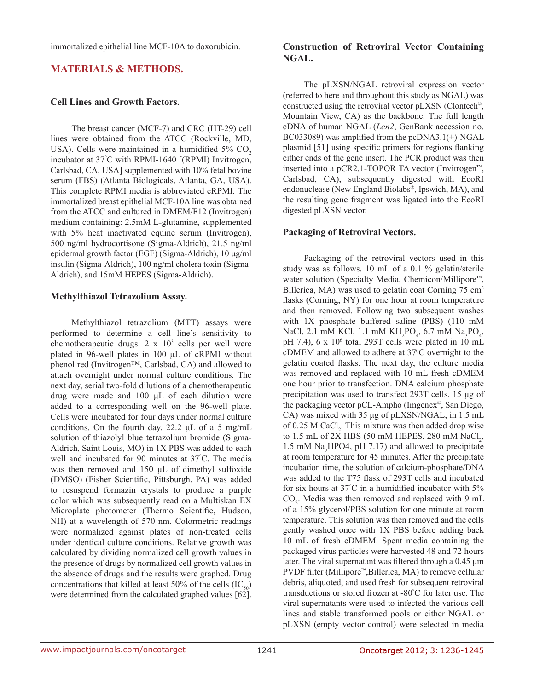immortalized epithelial line MCF-10A to doxorubicin.

### **MATERIALS & METHODS.**

#### **Cell Lines and Growth Factors.**

The breast cancer (MCF-7) and CRC (HT-29) cell lines were obtained from the ATCC (Rockville, MD, USA). Cells were maintained in a humidified  $5\%$  CO<sub>2</sub> incubator at 37° C with RPMI-1640 [(RPMI) Invitrogen, Carlsbad, CA, USA] supplemented with 10% fetal bovine serum (FBS) (Atlanta Biologicals, Atlanta, GA, USA). This complete RPMI media is abbreviated cRPMI. The immortalized breast epithelial MCF-10A line was obtained from the ATCC and cultured in DMEM/F12 (Invitrogen) medium containing: 2.5mM L-glutamine, supplemented with 5% heat inactivated equine serum (Invitrogen), 500 ng/ml hydrocortisone (Sigma-Aldrich), 21.5 ng/ml epidermal growth factor (EGF) (Sigma-Aldrich), 10 μg/ml insulin (Sigma-Aldrich), 100 ng/ml cholera toxin (Sigma-Aldrich), and 15mM HEPES (Sigma-Aldrich).

#### **Methylthiazol Tetrazolium Assay.**

Methylthiazol tetrazolium (MTT) assays were performed to determine a cell line's sensitivity to chemotherapeutic drugs.  $2 \times 10^3$  cells per well were plated in 96-well plates in 100 μL of cRPMI without phenol red (Invitrogen™, Carlsbad, CA) and allowed to attach overnight under normal culture conditions. The next day, serial two-fold dilutions of a chemotherapeutic drug were made and 100 μL of each dilution were added to a corresponding well on the 96-well plate. Cells were incubated for four days under normal culture conditions. On the fourth day, 22.2 μL of a 5 mg/mL solution of thiazolyl blue tetrazolium bromide (Sigma-Aldrich, Saint Louis, MO) in 1X PBS was added to each well and incubated for 90 minutes at 37° C. The media was then removed and 150 μL of dimethyl sulfoxide (DMSO) (Fisher Scientific, Pittsburgh, PA) was added to resuspend formazin crystals to produce a purple color which was subsequently read on a Multiskan EX Microplate photometer (Thermo Scientific, Hudson, NH) at a wavelength of 570 nm. Colormetric readings were normalized against plates of non-treated cells under identical culture conditions. Relative growth was calculated by dividing normalized cell growth values in the presence of drugs by normalized cell growth values in the absence of drugs and the results were graphed. Drug concentrations that killed at least 50% of the cells  $(IC_{50})$ were determined from the calculated graphed values  $[62]$ .

### **Construction of Retroviral Vector Containing NGAL.**

The pLXSN/NGAL retroviral expression vector (referred to here and throughout this study as NGAL) was constructed using the retroviral vector pLXSN (Clontech©, Mountain View, CA) as the backbone. The full length cDNA of human NGAL (*Lcn2*, GenBank accession no. BC033089) was amplified from the pcDNA3.1(+)-NGAL plasmid [51] using specific primers for regions flanking either ends of the gene insert. The PCR product was then inserted into a pCR2.1-TOPOR TA vector (Invitrogen™, Carlsbad, CA), subsequently digested with EcoRI endonuclease (New England Biolabs®, Ipswich, MA), and the resulting gene fragment was ligated into the EcoRI digested pLXSN vector.

### **Packaging of Retroviral Vectors.**

Packaging of the retroviral vectors used in this study was as follows. 10 mL of a 0.1 % gelatin/sterile water solution (Specialty Media, Chemicon/Millipore™, Billerica, MA) was used to gelatin coat Corning 75 cm<sup>2</sup> flasks (Corning, NY) for one hour at room temperature and then removed. Following two subsequent washes with 1X phosphate buffered saline (PBS) (110 mM NaCl, 2.1 mM KCl, 1.1 mM  $KH_2PO_4$ , 6.7 mM Na<sub>3</sub>PO<sub>4</sub>, pH 7.4),  $6 \times 10^6$  total 293T cells were plated in 10 mL cDMEM and allowed to adhere at 37<sup>o</sup>C overnight to the gelatin coated flasks. The next day, the culture media was removed and replaced with 10 mL fresh cDMEM one hour prior to transfection. DNA calcium phosphate precipitation was used to transfect 293T cells. 15 μg of the packaging vector pCL-Ampho (Imgenex©, San Diego, CA) was mixed with 35 μg of pLXSN/NGAL, in 1.5 mL of  $0.25$  M CaCl<sub>2</sub>. This mixture was then added drop wise to 1.5 mL of 2X HBS (50 mM HEPES, 280 mM  $\text{NaCl}_2$ , 1.5 mM  $\text{Na}_2\text{HPO4}$ , pH 7.17) and allowed to precipitate at room temperature for 45 minutes. After the precipitate incubation time, the solution of calcium-phosphate/DNA was added to the T75 flask of 293T cells and incubated for six hours at 37° C in a humidified incubator with 5%  $CO<sub>2</sub>$ . Media was then removed and replaced with 9 mL of a 15% glycerol/PBS solution for one minute at room temperature. This solution was then removed and the cells gently washed once with 1X PBS before adding back 10 mL of fresh cDMEM. Spent media containing the packaged virus particles were harvested 48 and 72 hours later. The viral supernatant was filtered through a 0.45 μm PVDF filter (Millipore™,Billerica, MA) to remove cellular debris, aliquoted, and used fresh for subsequent retroviral transductions or stored frozen at -80° C for later use. The viral supernatants were used to infected the various cell lines and stable transformed pools or either NGAL or pLXSN (empty vector control) were selected in media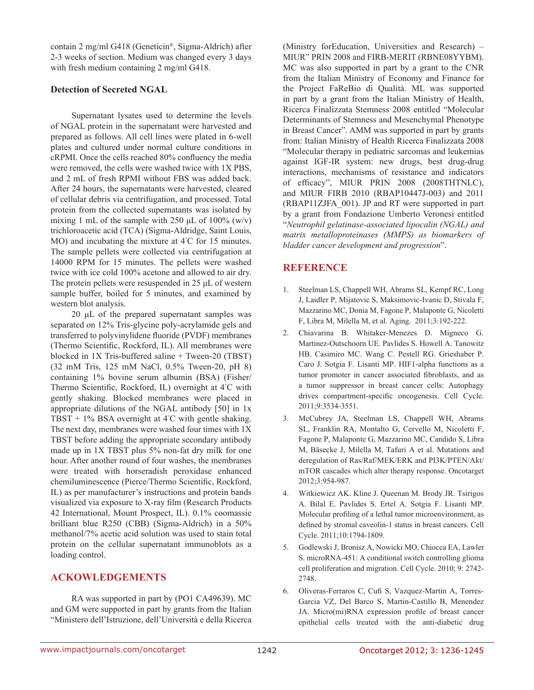contain 2 mg/ml G418 (Geneticin®, Sigma-Aldrich) after 2-3 weeks of section. Medium was changed every 3 days with fresh medium containing 2 mg/ml G418.

#### **Detection of Secreted NGAL**

Supernatant lysates used to determine the levels of NGAL protein in the supernatant were harvested and prepared as follows. All cell lines were plated in 6-well plates and cultured under normal culture conditions in cRPMI. Once the cells reached 80% confluency the media were removed, the cells were washed twice with 1X PBS, and 2 mL of fresh RPMI without FBS was added back. After 24 hours, the supernatants were harvested, cleared of cellular debris via centrifugation, and processed. Total protein from the collected supernatants was isolated by mixing 1 mL of the sample with 250  $\mu$ L of 100% (w/v) trichloroacetic acid (TCA) (Sigma-Aldridge, Saint Louis, MO) and incubating the mixture at 4° C for 15 minutes. The sample pellets were collected via centrifugation at 14000 RPM for 15 minutes. The pellets were washed twice with ice cold 100% acetone and allowed to air dry. The protein pellets were resuspended in 25 μL of western sample buffer, boiled for 5 minutes, and examined by western blot analysis.

20 μL of the prepared supernatant samples was separated on 12% Tris-glycine poly-acrylamide gels and transferred to polyvinylidene fluoride (PVDF) membranes (Thermo Scientific, Rockford, IL). All membranes were blocked in 1X Tris-buffered saline + Tween-20 (TBST) (32 mM Tris, 125 mM NaCl, 0.5% Tween-20, pH 8) containing 1% bovine serum albumin (BSA) (Fisher/ Thermo Scientific, Rockford, IL) overnight at 4° C with gently shaking. Blocked membranes were placed in appropriate dilutions of the NGAL antibody [50] in 1x TBST +  $1\%$  BSA overnight at  $4^{\circ}$ C with gentle shaking. The next day, membranes were washed four times with 1X TBST before adding the appropriate secondary antibody made up in 1X TBST plus 5% non-fat dry milk for one hour. After another round of four washes, the membranes were treated with horseradish peroxidase enhanced chemiluminescence (Pierce/Thermo Scientific, Rockford, IL) as per manufacturer's instructions and protein bands visualized via exposure to X-ray film (Research Products 42 International, Mount Prospect, IL). 0.1% coomassie brilliant blue R250 (CBB) (Sigma-Aldrich) in a 50% methanol/7% acetic acid solution was used to stain total protein on the cellular supernatant immunoblots as a loading control.

## **ACKOWLEDGEMENTS**

RA was supported in part by (PO1 CA49639). MC and GM were supported in part by grants from the Italian "Ministero dell'Istruzione, dell'Università e della Ricerca (Ministry forEducation, Universities and Research) – MIUR" PRIN 2008 and FIRB-MERIT (RBNE08YYBM). MC was also supported in part by a grant to the CNR from the Italian Ministry of Economy and Finance for the Project FaReBio di Qualità. ML was supported in part by a grant from the Italian Ministry of Health, Ricerca Finalizzata Stemness 2008 entitled "Molecular Determinants of Stemness and Mesenchymal Phenotype in Breast Cancer". AMM was supported in part by grants from: Italian Ministry of Health Ricerca Finalizzata 2008 "Molecular therapy in pediatric sarcomas and leukemias against IGF-IR system: new drugs, best drug-drug interactions, mechanisms of resistance and indicators of efficacy", MIUR PRIN 2008 (2008THTNLC), and MIUR FIRB 2010 (RBAP10447J-003) and 2011 (RBAP11ZJFA\_001). JP and RT were supported in part by a grant from Fondazione Umberto Veronesi entitled "*Neutrophil gelatinase-associated lipocalin (NGAL) and matrix metalloproteinases (MMPS) as biomarkers of bladder cancer development and progression*".

## **REFERENCE**

- 1. Steelman LS, Chappell WH, Abrams SL, Kempf RC, Long J, Laidler P, Mijatovic S, Maksimovic-Ivanic D, Stivala F, Mazzarino MC, Donia M, Fagone P, Malaponte G, Nicoletti F, Libra M, Milella M, et al. Aging. 2011;3:192-222.
- 2. Chiavarina B. Whitaker-Menezes D. Migneco G. Martinez-Outschoorn UE. Pavlides S. Howell A. Tanowitz HB. Casimiro MC. Wang C. Pestell RG. Grieshaber P. Caro J. Sotgia F. Lisanti MP. HIF1-alpha functions as a tumor promoter in cancer associated fibroblasts, and as a tumor suppressor in breast cancer cells: Autophagy drives compartment-specific oncogenesis. Cell Cycle. 2011;9:3534-3551.
- 3. McCubrey JA, Steelman LS, Chappell WH, Abrams SL, Franklin RA, Montalto G, Cervello M, Nicoletti F, Fagone P, Malaponte G, Mazzarino MC, Candido S, Libra M, Bäsecke J, Milella M, Tafuri A et al. Mutations and deregulation of Ras/Raf/MEK/ERK and PI3K/PTEN/Akt/ mTOR cascades which alter therapy response. Oncotarget 2012;3:954-987.
- 4. Witkiewicz AK. Kline J. Queenan M. Brody JR. Tsirigos A. Bilal E. Pavlides S. Ertel A. Sotgia F. Lisanti MP. Molecular profiling of a lethal tumor microenvironment, as defined by stromal caveolin-1 status in breast cancers. Cell Cycle. 2011;10:1794-1809.
- 5. Godlewski J, Bronisz A, Nowicki MO, Chiocca EA, Lawler S. microRNA-451: A conditional switch controlling glioma cell proliferation and migration. Cell Cycle. 2010; 9: 2742- 2748.
- 6. Oliveras-Ferraros C, Cufi S, Vazquez-Martin A, Torres-Garcia VZ, Del Barco S, Martin-Castillo B, Menendez JA. Micro(mi)RNA expression profile of breast cancer epithelial cells treated with the anti-diabetic drug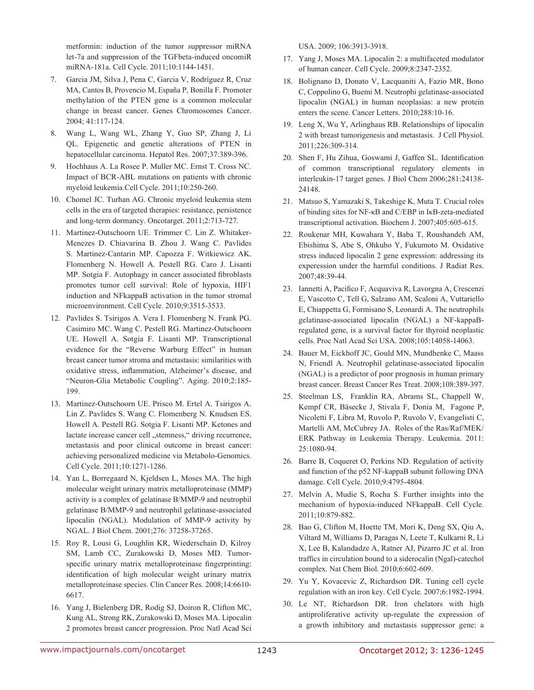metformin: induction of the tumor suppressor miRNA let-7a and suppression of the TGFbeta-induced oncomiR miRNA-181a. Cell Cycle. 2011;10:1144-1451.

- 7. Garcia JM, Silva J, Pena C, Garcia V, Rodríguez R, Cruz MA, Cantos B, Provencio M, España P, Bonilla F. Promoter methylation of the PTEN gene is a common molecular change in breast cancer. Genes Chromosomes Cancer. 2004; 41:117-124.
- 8. Wang L, Wang WL, Zhang Y, Guo SP, Zhang J, Li QL. Epigenetic and genetic alterations of PTEN in hepatocellular carcinoma. Hepatol Res. 2007;37:389-396.
- 9. Hochhaus A. La Rosee P. Muller MC. Ernst T. Cross NC. Impact of BCR-ABL mutations on patients with chronic myeloid leukemia.Cell Cycle. 2011;10:250-260.
- 10. Chomel JC. Turhan AG. Chronic myeloid leukemia stem cells in the era of targeted therapies: resistance, persistence and long-term dormancy. Oncotarget. 2011;2:713-727.
- 11. Martinez-Outschoorn UE. Trimmer C. Lin Z. Whitaker-Menezes D. Chiavarina B. Zhou J. Wang C. Pavlides S. Martinez-Cantarin MP. Capozza F. Witkiewicz AK. Flomenberg N. Howell A. Pestell RG. Caro J. Lisanti MP. Sotgia F. Autophagy in cancer associated fibroblasts promotes tumor cell survival: Role of hypoxia, HIF1 induction and NFkappaB activation in the tumor stromal microenvironment. Cell Cycle. 2010;9:3515-3533.
- 12. Pavlides S. Tsirigos A. Vera I. Flomenberg N. Frank PG. Casimiro MC. Wang C. Pestell RG. Martinez-Outschoorn UE. Howell A. Sotgia F. Lisanti MP. Transcriptional evidence for the "Reverse Warburg Effect" in human breast cancer tumor stroma and metastasis: similarities with oxidative stress, inflammation, Alzheimer's disease, and "Neuron-Glia Metabolic Coupling". Aging. 2010;2:185- 199.
- 13. Martinez-Outschoorn UE. Prisco M. Ertel A. Tsirigos A. Lin Z. Pavlides S. Wang C. Flomenberg N. Knudsen ES. Howell A. Pestell RG. Sotgia F. Lisanti MP. Ketones and lactate increase cancer cell "stemness," driving recurrence, metastasis and poor clinical outcome in breast cancer: achieving personalized medicine via Metabolo-Genomics. Cell Cycle. 2011;10:1271-1286.
- 14. Yan L, Borregaard N, Kjeldsen L, Moses MA. The high molecular weight urinary matrix metalloproteinase (MMP) activity is a complex of gelatinase B/MMP-9 and neutrophil gelatinase B/MMP-9 and neutrophil gelatinase-associated lipocalin (NGAL). Modulation of MMP-9 activity by NGAL. J Biol Chem. 2001;276: 37258-37265.
- 15. Roy R, Lousi G, Loughlin KR, Wiederschain D, Kilroy SM, Lamb CC, Zurakowski D, Moses MD. Tumorspecific urinary matrix metalloproteinase fingerprinting: identification of high molecular weight urinary matrix metalloproteinase species. Clin Cancer Res. 2008;14:6610- 6617.
- 16. Yang J, Bielenberg DR, Rodig SJ, Doiron R, Clifton MC, Kung AL, Strong RK, Zurakowski D, Moses MA. Lipocalin 2 promotes breast cancer progression. Proc Natl Acad Sci

USA. 2009; 106:3913-3918.

- 17. Yang J, Moses MA. Lipocalin 2: a multifaceted modulator of human cancer. Cell Cycle. 2009;8:2347-2352.
- 18. Bolignano D, Donato V, Lacquaniti A, Fazio MR, Bono C, Coppolino G, Buemi M. Neutrophi gelatinase-associated lipocalin (NGAL) in human neoplasias: a new protein enters the scene. Cancer Letters. 2010;288:10-16.
- 19. Leng X, Wu Y, Arlinghaus RB. Relationships of lipocalin 2 with breast tumorigenesis and metastasis. J Cell Physiol. 2011;226:309-314.
- 20. Shen F, Hu Zihua, Goswami J, Gaffen SL. Identification of common transcriptional regulatory elements in interleukin-17 target genes. J Biol Chem 2006;281:24138- 24148.
- 21. Matsuo S, Yamazaki S, Takeshige K, Muta T. Crucial roles of binding sites for NF-κB and C/EBP in IκB-zeta-mediated transcriptional activation. Biochem J. 2007;405:605-615.
- 22. Roukenar MH, Kuwahara Y, Baba T, Roushandeh AM, Ebishima S, Abe S, Ohkubo Y, Fukumoto M. Oxidative stress induced lipocalin 2 gene expression: addressing its experession under the harmful conditions. J Radiat Res. 2007;48:39-44.
- 23. Iannetti A, Pacifico F, Acquaviva R, Lavorgna A, Crescenzi E, Vascotto C, Tell G, Salzano AM, Scaloni A, Vuttariello E, Chiappetta G, Formisano S, Leonardi A. The neutrophils gelatinase-associated lipocalin (NGAL) a NF-kappaBregulated gene, is a survival factor for thyroid neoplastic cells. Proc Natl Acad Sci USA. 2008;105:14058-14063.
- 24. Bauer M, Eickhoff JC, Gould MN, Mundhenke C, Maass N, Friendl A. Neutrophil gelatinase-associated lipocalin (NGAL) is a predictor of poor prognosis in human primary breast cancer. Breast Cancer Res Treat. 2008;108:389-397.
- 25. Steelman LS, Franklin RA, Abrams SL, Chappell W, Kempf CR, Bäsecke J, Stivala F, Donia M, Fagone P, Nicoletti F, Libra M, Ruvolo P, Ruvolo V, Evangelisti C, Martelli AM, McCubrey JA. Roles of the Ras/Raf/MEK/ ERK Pathway in Leukemia Therapy. Leukemia. 2011: 25:1080-94.
- 26. Barre B, Coqueret O, Perkins ND. Regulation of activity and function of the p52 NF-kappaB subunit following DNA damage. Cell Cycle. 2010;9:4795-4804.
- 27. Melvin A, Mudie S, Rocha S. Further insights into the mechanism of hypoxia-induced NFkappaB. Cell Cycle. 2011;10:879-882.
- 28. Bao G, Clifton M, Hoette TM, Mori K, Deng SX, Qiu A, Viltard M, Williams D, Paragas N, Leete T, Kulkarni R, Li X, Lee B, Kalandadze A, Ratner AJ, Pizarro JC et al. Iron traffics in circulation bound to a siderocalin (Ngal)-catechol complex. Nat Chem Biol. 2010;6:602-609.
- 29. Yu Y, Kovacevic Z, Richardson DR. Tuning cell cycle regulation with an iron key. Cell Cycle. 2007;6:1982-1994.
- 30. Le NT, Richardson DR. Iron chelators with high antiproliferative activity up-regulate the expression of a growth inhibitory and metastasis suppressor gene: a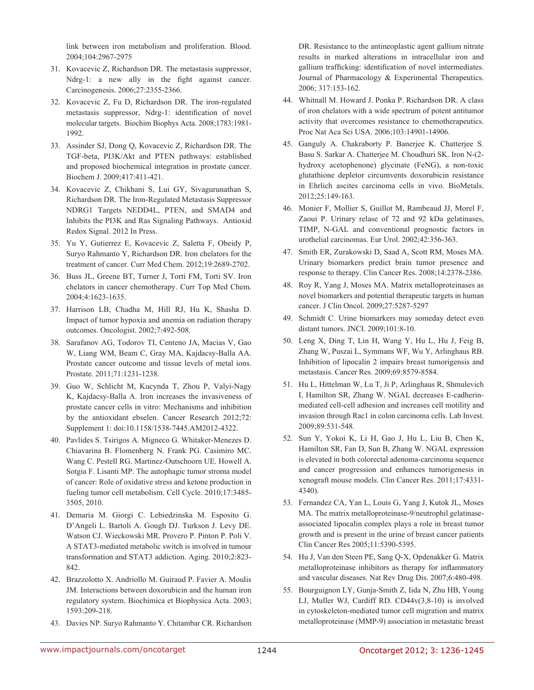link between iron metabolism and proliferation. Blood. 2004;104:2967-2975

- 31. Kovacevic Z, Richardson DR. The metastasis suppressor, Ndrg-1: a new ally in the fight against cancer. Carcinogenesis. 2006;27:2355-2366.
- 32. Kovacevic Z, Fu D, Richardson DR. The iron-regulated metastasis suppressor, Ndrg-1: identification of novel molecular targets. Biochim Biophys Acta. 2008;1783:1981- 1992.
- 33. Assinder SJ, Dong Q, Kovacevic Z, Richardson DR. The TGF-beta, PI3K/Akt and PTEN pathways: established and proposed biochemical integration in prostate cancer. Biochem J. 2009;417:411-421.
- 34. Kovacevic Z, Chikhani S, Lui GY, Sivagurunathan S, Richardson DR. The Iron-Regulated Metastasis Suppressor NDRG1 Targets NEDD4L, PTEN, and SMAD4 and Inhibits the PI3K and Ras Signaling Pathways. Antioxid Redox Signal. 2012 In Press.
- 35. Yu Y, Gutierrez E, Kovacevic Z, Saletta F, Obeidy P, Suryo Rahmanto Y, Richardson DR. Iron chelators for the treatment of cancer. Curr Med Chem. 2012;19:2689-2702.
- 36. Buss JL, Greene BT, Turner J, Torti FM, Torti SV. Iron chelators in cancer chemotherapy. Curr Top Med Chem. 2004;4:1623-1635.
- 37. Harrison LB, Chadha M, Hill RJ, Hu K, Shasha D. Impact of tumor hypoxia and anemia on radiation therapy outcomes. Oncologist. 2002;7:492-508.
- 38. Sarafanov AG, Todorov TI, Centeno JA, Macias V, Gao W, Liang WM, Beam C, Gray MA, Kajdacsy-Balla AA. Prostate cancer outcome and tissue levels of metal ions. Prostate. 2011;71:1231-1238.
- 39. Guo W, Schlicht M, Kucynda T, Zhou P, Valyi-Nagy K, Kajdacsy-Balla A. Iron increases the invasiveness of prostate cancer cells in vitro: Mechanisms and inhibition by the antioxidant ebselen. Cancer Research 2012;72: Supplement 1: doi:10.1158/1538-7445.AM2012-4322.
- 40. Pavlides S. Tsirigos A. Migneco G. Whitaker-Menezes D. Chiavarina B. Flomenberg N. Frank PG. Casimiro MC. Wang C. Pestell RG. Martinez-Outschoorn UE. Howell A. Sotgia F. Lisanti MP. The autophagic tumor stroma model of cancer: Role of oxidative stress and ketone production in fueling tumor cell metabolism. Cell Cycle. 2010;17:3485- 3505, 2010.
- 41. Demaria M. Giorgi C. Lebiedzinska M. Esposito G. D'Angeli L. Bartoli A. Gough DJ. Turkson J. Levy DE. Watson CJ. Wieckowski MR. Provero P. Pinton P. Poli V. A STAT3-mediated metabolic switch is involved in tumour transformation and STAT3 addiction. Aging. 2010;2:823- 842.
- 42. Brazzolotto X. Andriollo M. Guiraud P. Favier A. Moulis JM. Interactions between doxorubicin and the human iron regulatory system. Biochimica et Biophysica Acta. 2003; 1593:209-218.
- 43. Davies NP. Suryo Rahmanto Y. Chitambar CR. Richardson

DR. Resistance to the antineoplastic agent gallium nitrate results in marked alterations in intracellular iron and gallium trafficking: identification of novel intermediates. Journal of Pharmacology & Experimental Therapeutics. 2006; 317:153-162.

- 44. Whitnall M. Howard J. Ponka P. Richardson DR. A class of iron chelators with a wide spectrum of potent antitumor activity that overcomes resistance to chemotherapeutics. Proc Nat Aca Sci USA. 2006;103:14901-14906.
- 45. Ganguly A. Chakraborty P. Banerjee K. Chatterjee S. Basu S. Sarkar A. Chatterjee M. Choudhuri SK. Iron N-(2 hydroxy acetophenone) glycinate (FeNG), a non-toxic glutathione depletor circumvents doxorubicin resistance in Ehrlich ascites carcinoma cells in vivo. BioMetals. 2012;25:149-163.
- 46. Monier F, Mollier S, Guillot M, Rambeaud JJ, Morel F, Zaoui P. Urinary relase of 72 and 92 kDa gelatinases, TIMP, N-GAL and conventional prognostic factors in urothelial carcinomas. Eur Urol. 2002;42:356-363.
- 47. Smith ER, Zurakowski D, Saad A, Scott RM, Moses MA. Urinary biomarkers predict brain tumor presence and response to therapy. Clin Cancer Res. 2008;14:2378-2386.
- 48. Roy R, Yang J, Moses MA. Matrix metalloproteinases as novel biomarkers and potential therapeutic targets in human cancer. J Clin Oncol. 2009;27:5287-5297
- 49. Schmidt C. Urine biomarkers may someday detect even distant tumors. JNCI. 2009;101:8-10.
- 50. Leng X, Ding T, Lin H, Wang Y, Hu L, Hu J, Feig B, Zhang W, Puszai L, Symmans WF, Wu Y, Arlinghaus RB. Inhibition of lipocalin 2 impairs breast tumorigensis and metastasis. Cancer Res. 2009;69:8579-8584.
- 51. Hu L, Hittelman W, Lu T, Ji P, Arlinghaus R, Shmulevich I, Hamilton SR, Zhang W. NGAL decreases E-cadherinmediated cell-cell adhesion and increases cell motility and invasion through Rac1 in colon carcinoma cells. Lab Invest. 2009;89:531-548.
- 52. Sun Y, Yokoi K, Li H, Gao J, Hu L, Liu B, Chen K, Hamilton SR, Fan D, Sun B, Zhang W. NGAL expression is elevated in both colorectal adenoma-carcinoma sequence and cancer progression and enhances tumorigenesis in xenograft mouse models. Clin Cancer Res. 2011;17:4331- 4340).
- 53. Fernandez CA, Yan L, Louis G, Yang J, Kutok JL, Moses MA. The matrix metalloproteinase-9/neutrophil gelatinaseassociated lipocalin complex plays a role in breast tumor growth and is present in the urine of breast cancer patients Clin Cancer Res 2005;11:5390-5395.
- 54. Hu J, Van den Steen PE, Sang Q-X, Opdenakker G. Matrix metalloproteinase inhibitors as therapy for inflammatory and vascular diseases. Nat Rev Drug Dis. 2007;6:480-498.
- 55. Bourguignon LY, Gunja-Smith Z, Iida N, Zhu HB, Young LJ, Muller WJ, Cardiff RD. CD44v(3,8-10) is involved in cytoskeleton-mediated tumor cell migration and matrix metalloproteinase (MMP-9) association in metastatic breast